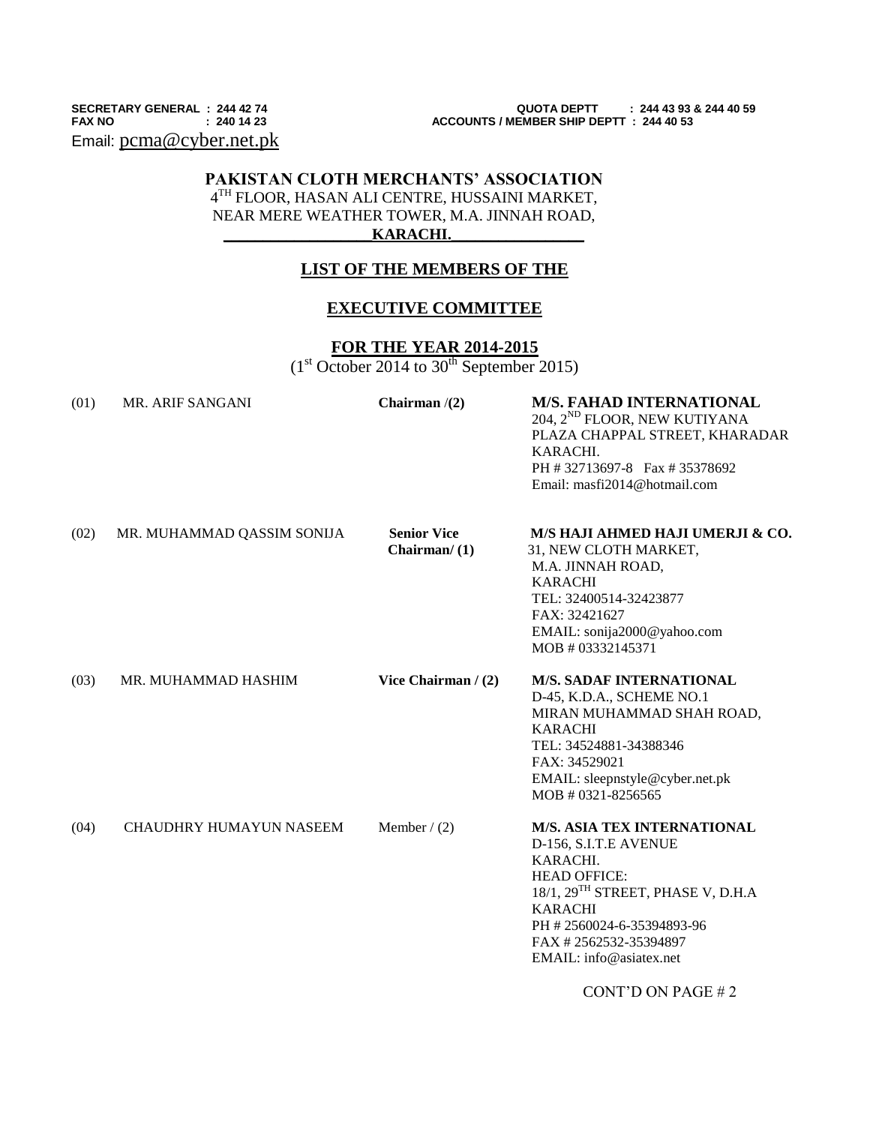Email: [pcma@cyber.net.pk](mailto:pcma@cyber.net.pk)

**SECRETARY GENERAL : 244 42 74 QUOTA DEPTT : 244 43 93 & 244 40 59 ACCOUNTS / MEMBER SHIP DEPTT : 244 40 53** 

# **PAKISTAN CLOTH MERCHANTS' ASSOCIATION** 4 TH FLOOR, HASAN ALI CENTRE, HUSSAINI MARKET, NEAR MERE WEATHER TOWER, M.A. JINNAH ROAD,

## $KARACHI.$

# **LIST OF THE MEMBERS OF THE**

### **EXECUTIVE COMMITTEE**

## **FOR THE YEAR 2014-2015**

 $(1<sup>st</sup> October 2014 to 30<sup>th</sup> September 2015)$ 

| (01) | MR. ARIF SANGANI           | Chairman $/(2)$                       | <b>M/S. FAHAD INTERNATIONAL</b><br>204, 2 <sup>ND</sup> FLOOR, NEW KUTIYANA<br>PLAZA CHAPPAL STREET, KHARADAR<br>KARACHI.<br>PH #32713697-8 Fax #35378692<br>Email: masfi2014@hotmail.com                                                          |
|------|----------------------------|---------------------------------------|----------------------------------------------------------------------------------------------------------------------------------------------------------------------------------------------------------------------------------------------------|
| (02) | MR. MUHAMMAD QASSIM SONIJA | <b>Senior Vice</b><br>Chairman $/(1)$ | M/S HAJI AHMED HAJI UMERJI & CO.<br>31, NEW CLOTH MARKET,<br>M.A. JINNAH ROAD,<br><b>KARACHI</b><br>TEL: 32400514-32423877<br>FAX: 32421627<br>EMAIL: sonija2000@yahoo.com<br>MOB #03332145371                                                     |
| (03) | MR. MUHAMMAD HASHIM        | Vice Chairman / (2)                   | <b>M/S. SADAF INTERNATIONAL</b><br>D-45, K.D.A., SCHEME NO.1<br>MIRAN MUHAMMAD SHAH ROAD,<br><b>KARACHI</b><br>TEL: 34524881-34388346<br>FAX: 34529021<br>EMAIL: sleepnstyle@cyber.net.pk<br>MOB # 0321-8256565                                    |
| (04) | CHAUDHRY HUMAYUN NASEEM    | Member $/(2)$                         | <b>M/S. ASIA TEX INTERNATIONAL</b><br>D-156, S.I.T.E AVENUE<br>KARACHI.<br><b>HEAD OFFICE:</b><br>18/1, 29 <sup>TH</sup> STREET, PHASE V, D.H.A<br><b>KARACHI</b><br>PH #2560024-6-35394893-96<br>FAX #2562532-35394897<br>EMAIL: info@asiatex.net |
|      |                            |                                       |                                                                                                                                                                                                                                                    |

CONT'D ON PAGE # 2